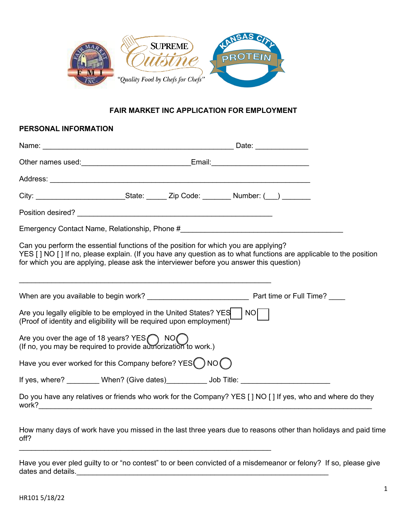

### **FAIR MARKET INC APPLICATION FOR EMPLOYMENT**

# **PERSONAL INFORMATION** Name: \_\_\_\_\_\_\_\_\_\_\_\_\_\_\_\_\_\_\_\_\_\_\_\_\_\_\_\_\_\_\_\_\_\_\_\_\_\_\_\_\_\_\_\_\_\_\_ Date: \_\_\_\_\_\_\_\_\_\_\_\_\_ Other names used: ether and the set of the set of the set of the set of the set of the set of the set of the set of the set of the set of the set of the set of the set of the set of the set of the set of the set of the set Address: \_\_\_\_\_\_\_\_\_\_\_\_\_\_\_\_\_\_\_\_\_\_\_\_\_\_\_\_\_\_\_\_\_\_\_\_\_\_\_\_\_\_\_\_\_\_\_\_\_\_\_\_\_\_\_\_\_\_\_\_\_\_\_\_ City: City: City: City: City: City: City:  $\bigcup_{i=1}^n$  Code:  $\bigcup_{i=1}^n$   $\bigcup_{i=1}^n$   $\bigcup_{i=1}^n$   $\bigcup_{i=1}^n$   $\bigcup_{i=1}^n$   $\bigcup_{i=1}^n$   $\bigcup_{i=1}^n$   $\bigcup_{i=1}^n$   $\bigcup_{i=1}^n$   $\bigcup_{i=1}^n$   $\bigcup_{i=1}^n$   $\bigcup_{i=1}^n$   $\bigcup_{$ Position desired? \_\_\_\_\_\_\_\_\_\_\_\_\_\_\_\_\_\_\_\_\_\_\_\_\_\_\_\_\_\_\_\_\_\_\_\_\_\_\_\_\_\_\_\_\_\_\_\_ Emergency Contact Name, Relationship, Phone # Can you perform the essential functions of the position for which you are applying? YES [ ] NO [ ] If no, please explain. (If you have any question as to what functions are applicable to the position for which you are applying, please ask the interviewer before you answer this question) \_\_\_\_\_\_\_\_\_\_\_\_\_\_\_\_\_\_\_\_\_\_\_\_\_\_\_\_\_\_\_\_\_\_\_\_\_\_\_\_\_\_\_\_\_\_\_\_\_\_\_\_\_\_\_\_\_\_\_\_\_\_ When are you available to begin work? example the set of the Santian Part time or Full Time? Are you legally eligible to be employed in the United States?  $YES$  | NO (Proof of identity and eligibility will be required upon employment) Are you over the age of 18 years? YES $\bigcap$  NO $\bigcap$ (If no, you may be required to provide authorization to work.) Have you ever worked for this Company before? YES  $\bigcap$  NO  $\bigcap$ If yes, where? When? (Give dates) \_\_\_\_\_\_\_\_\_\_ Job Title: \_\_\_\_\_\_\_\_\_\_\_\_\_\_\_\_\_\_\_\_\_\_\_\_ Do you have any relatives or friends who work for the Company? YES [ ] NO [ ] If yes, who and where do they work?\_\_\_\_\_\_\_\_\_\_\_\_\_\_\_\_\_\_\_\_\_\_\_\_\_\_\_\_\_\_\_\_\_\_\_\_\_\_\_\_\_\_\_\_\_\_\_\_\_\_\_\_\_\_\_\_\_\_\_\_\_\_\_\_\_\_\_\_\_\_\_\_\_\_\_\_\_\_\_\_\_\_

How many days of work have you missed in the last three years due to reasons other than holidays and paid time off?

Have you ever pled guilty to or "no contest" to or been convicted of a misdemeanor or felony? If so, please give dates and details.\_\_\_\_\_\_\_\_\_\_\_\_\_\_\_\_\_\_\_\_\_\_\_\_\_\_\_\_\_\_\_\_\_\_\_\_\_\_\_\_\_\_\_\_\_\_\_\_\_\_\_\_\_\_\_\_\_\_\_\_\_\_

 $\_$  , and the set of the set of the set of the set of the set of the set of the set of the set of the set of the set of the set of the set of the set of the set of the set of the set of the set of the set of the set of th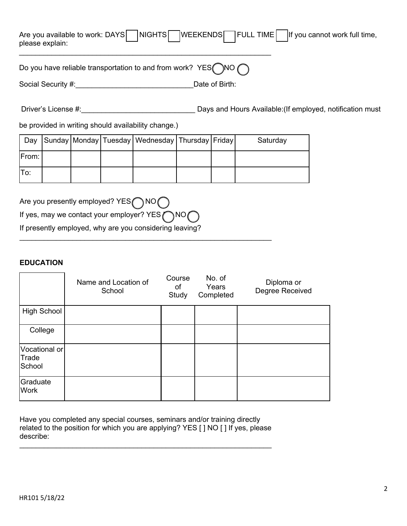| please explain:                                                                  | Are you available to work: DAYS NIGHTS WEEKENDS FULL TIME If you cannot work full time, |
|----------------------------------------------------------------------------------|-----------------------------------------------------------------------------------------|
| Do you have reliable transportation to and from work? YES $\bigcap$ NO $\bigcap$ |                                                                                         |
| Social Security #:                                                               | Date of Birth:                                                                          |

| Driver's License #: | Days and Hours Available: (If employed, notification must |
|---------------------|-----------------------------------------------------------|
|---------------------|-----------------------------------------------------------|

be provided in writing should availability change.)

| Dav   |  | Sunday Monday Tuesday   Wednesday   Thursday   Friday |  | Saturday |
|-------|--|-------------------------------------------------------|--|----------|
| From: |  |                                                       |  |          |
| 'To:  |  |                                                       |  |          |

 $\_$  , and the set of the set of the set of the set of the set of the set of the set of the set of the set of the set of the set of the set of the set of the set of the set of the set of the set of the set of the set of th

| Are you presently employed? YES ( NO (                         |
|----------------------------------------------------------------|
| If yes, may we contact your employer? $YES \bigcap NO \bigcap$ |
| If presently employed, why are you considering leaving?        |

## **EDUCATION**

|                                  | Name and Location of<br>School | Course<br>of<br>Study | No. of<br>Years<br>Completed | Diploma or<br>Degree Received |
|----------------------------------|--------------------------------|-----------------------|------------------------------|-------------------------------|
| <b>High School</b>               |                                |                       |                              |                               |
| College                          |                                |                       |                              |                               |
| Vocational or<br>Trade<br>School |                                |                       |                              |                               |
| Graduate<br><b>Work</b>          |                                |                       |                              |                               |

Have you completed any special courses, seminars and/or training directly related to the position for which you are applying? YES [ ] NO [ ] If yes, please describe:

\_\_\_\_\_\_\_\_\_\_\_\_\_\_\_\_\_\_\_\_\_\_\_\_\_\_\_\_\_\_\_\_\_\_\_\_\_\_\_\_\_\_\_\_\_\_\_\_\_\_\_\_\_\_\_\_\_\_\_\_\_\_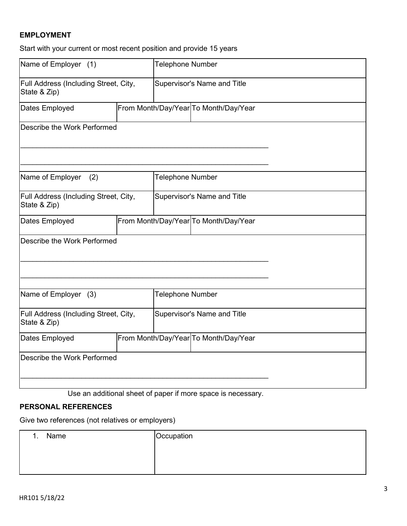# **EMPLOYMENT**

Start with your current or most recent position and provide 15 years

| Name of Employer (1)                                  |  |                                       | <b>Telephone Number</b>               |  |  |
|-------------------------------------------------------|--|---------------------------------------|---------------------------------------|--|--|
| Full Address (Including Street, City,<br>State & Zip) |  |                                       | Supervisor's Name and Title           |  |  |
| Dates Employed                                        |  |                                       | From Month/Day/Year To Month/Day/Year |  |  |
| Describe the Work Performed                           |  |                                       |                                       |  |  |
| Name of Employer<br>(2)                               |  | <b>Telephone Number</b>               |                                       |  |  |
| Full Address (Including Street, City,<br>State & Zip) |  |                                       | Supervisor's Name and Title           |  |  |
| Dates Employed                                        |  | From Month/Day/Year To Month/Day/Year |                                       |  |  |
| Describe the Work Performed                           |  |                                       |                                       |  |  |
| Name of Employer (3)                                  |  | <b>Telephone Number</b>               |                                       |  |  |
| Full Address (Including Street, City,<br>State & Zip) |  | Supervisor's Name and Title           |                                       |  |  |
| Dates Employed                                        |  |                                       | From Month/Day/Year To Month/Day/Year |  |  |
| Describe the Work Performed                           |  |                                       |                                       |  |  |

Use an additional sheet of paper if more space is necessary.

# **PERSONAL REFERENCES**

Give two references (not relatives or employers)

| Name | Occupation |
|------|------------|
|      |            |
|      |            |
|      |            |